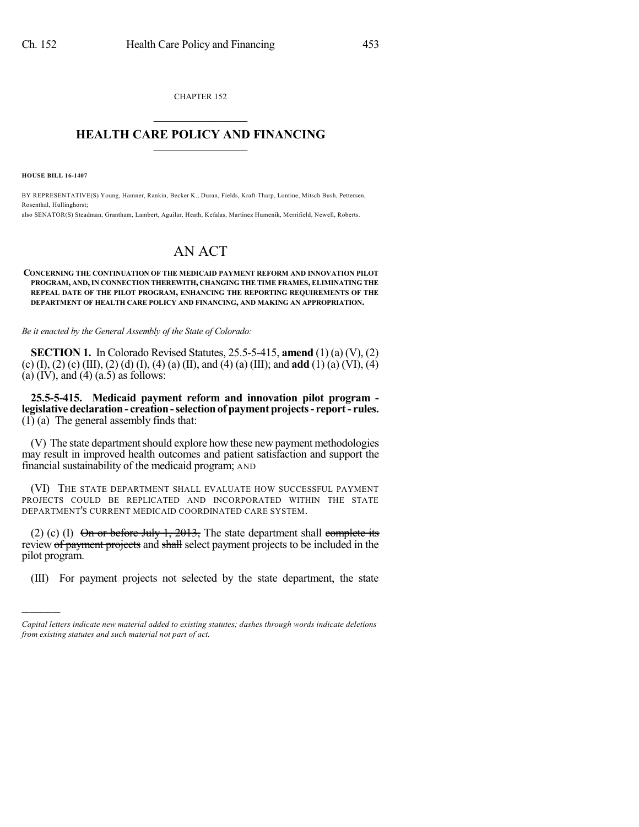CHAPTER 152  $\mathcal{L}_\text{max}$  . The set of the set of the set of the set of the set of the set of the set of the set of the set of the set of the set of the set of the set of the set of the set of the set of the set of the set of the set

## **HEALTH CARE POLICY AND FINANCING**  $\_$   $\_$   $\_$   $\_$   $\_$   $\_$   $\_$   $\_$

**HOUSE BILL 16-1407**

)))))

BY REPRESENTATIVE(S) Young, Hamner, Rankin, Becker K., Duran, Fields, Kraft-Tharp, Lontine, Mitsch Bush, Pettersen, Rosenthal, Hullinghorst;

also SENATOR(S) Steadman, Grantham, Lambert, Aguilar, Heath, Kefalas, Martinez Humenik, Merrifield, Newell, Roberts.

## AN ACT

## **CONCERNING THE CONTINUATION OF THE MEDICAID PAYMENT REFORM AND INNOVATION PILOT PROGRAM, AND,IN CONNECTION THEREWITH, CHANGING THE TIME FRAMES, ELIMINATING THE REPEAL DATE OF THE PILOT PROGRAM, ENHANCING THE REPORTING REQUIREMENTS OF THE DEPARTMENT OF HEALTH CARE POLICY AND FINANCING, AND MAKING AN APPROPRIATION.**

*Be it enacted by the General Assembly of the State of Colorado:*

**SECTION 1.** In Colorado Revised Statutes, 25.5-5-415, **amend** (1) (a) (V), (2) (c) (I), (2) (c) (III), (2) (d) (I), (4) (a) (II), and (4) (a) (III); and **add** (1) (a) (VI), (4) (a)  $(IV)$ , and  $(4)$   $(a.5)$  as follows:

**25.5-5-415. Medicaid payment reform and innovation pilot program legislative declaration- creation-selectionof paymentprojects- report- rules.**  $(1)$  (a) The general assembly finds that:

(V) The state department should explore how these new payment methodologies may result in improved health outcomes and patient satisfaction and support the financial sustainability of the medicaid program; AND

(VI) THE STATE DEPARTMENT SHALL EVALUATE HOW SUCCESSFUL PAYMENT PROJECTS COULD BE REPLICATED AND INCORPORATED WITHIN THE STATE DEPARTMENT'S CURRENT MEDICAID COORDINATED CARE SYSTEM.

(2) (c) (I) On or before July 1, 2013, The state department shall complete its review of payment projects and shall select payment projects to be included in the pilot program.

(III) For payment projects not selected by the state department, the state

*Capital letters indicate new material added to existing statutes; dashes through words indicate deletions from existing statutes and such material not part of act.*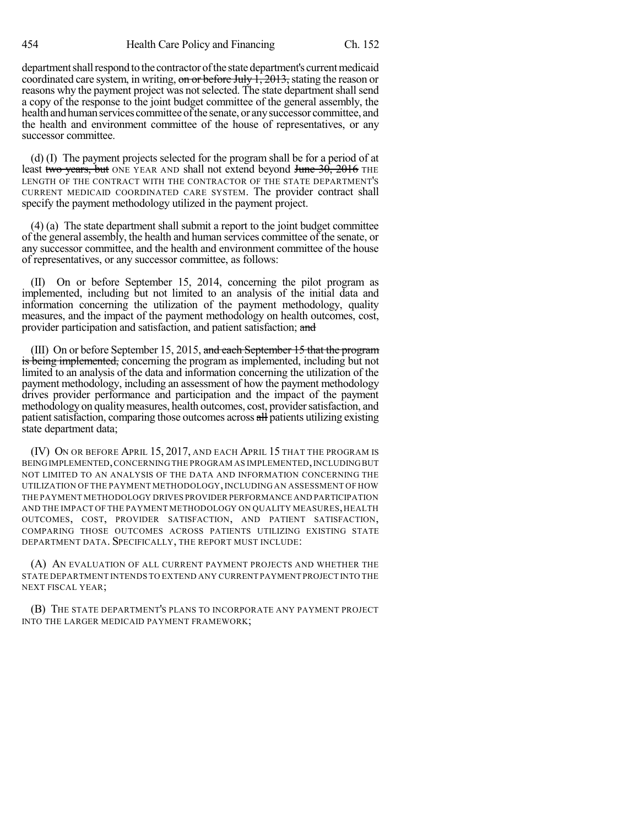454 Health Care Policy and Financing Ch. 152

department shall respond to the contractor of the state department's current medicaid coordinated care system, in writing, on or before July  $1, 2013$ , stating the reason or reasons why the payment project was not selected. The state department shall send a copy of the response to the joint budget committee of the general assembly, the health and human services committee of the senate, or any successor committee, and the health and environment committee of the house of representatives, or any successor committee.

(d) (I) The payment projects selected for the program shall be for a period of at least two years, but ONE YEAR AND shall not extend beyond June 30, 2016 THE LENGTH OF THE CONTRACT WITH THE CONTRACTOR OF THE STATE DEPARTMENT'S CURRENT MEDICAID COORDINATED CARE SYSTEM. The provider contract shall specify the payment methodology utilized in the payment project.

(4) (a) The state department shall submit a report to the joint budget committee of the general assembly, the health and human services committee of the senate, or any successor committee, and the health and environment committee of the house of representatives, or any successor committee, as follows:

(II) On or before September 15, 2014, concerning the pilot program as implemented, including but not limited to an analysis of the initial data and information concerning the utilization of the payment methodology, quality measures, and the impact of the payment methodology on health outcomes, cost, provider participation and satisfaction, and patient satisfaction; and

(III) On or before September 15, 2015, and each September 15 that the program is being implemented, concerning the program as implemented, including but not limited to an analysis of the data and information concerning the utilization of the payment methodology, including an assessment of how the payment methodology drives provider performance and participation and the impact of the payment methodology on quality measures, health outcomes, cost, provider satisfaction, and patient satisfaction, comparing those outcomes across all patients utilizing existing state department data;

(IV) ON OR BEFORE APRIL 15, 2017, AND EACH APRIL 15 THAT THE PROGRAM IS BEING IMPLEMENTED, CONCERNING THE PROGRAM AS IMPLEMENTED, INCLUDING BUT NOT LIMITED TO AN ANALYSIS OF THE DATA AND INFORMATION CONCERNING THE UTILIZATION OF THE PAYMENT METHODOLOGY, INCLUDING AN ASSESSMENT OF HOW THE PAYMENT METHODOLOGY DRIVES PROVIDER PERFORMANCE AND PARTICIPATION AND THE IMPACT OF THE PAYMENT METHODOLOGY ON QUALITY MEASURES, HEALTH OUTCOMES, COST, PROVIDER SATISFACTION, AND PATIENT SATISFACTION, COMPARING THOSE OUTCOMES ACROSS PATIENTS UTILIZING EXISTING STATE DEPARTMENT DATA. SPECIFICALLY, THE REPORT MUST INCLUDE:

(A) AN EVALUATION OF ALL CURRENT PAYMENT PROJECTS AND WHETHER THE STATE DEPARTMENT INTENDS TO EXTEND ANY CURRENT PAYMENT PROJECT INTO THE NEXT FISCAL YEAR;

(B) THE STATE DEPARTMENT'S PLANS TO INCORPORATE ANY PAYMENT PROJECT INTO THE LARGER MEDICAID PAYMENT FRAMEWORK;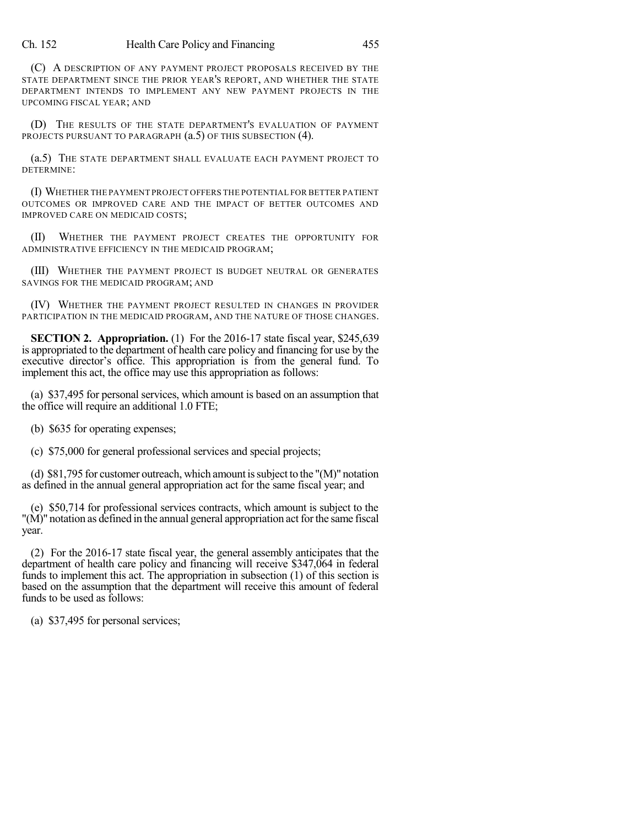(C) A DESCRIPTION OF ANY PAYMENT PROJECT PROPOSALS RECEIVED BY THE STATE DEPARTMENT SINCE THE PRIOR YEAR'S REPORT, AND WHETHER THE STATE DEPARTMENT INTENDS TO IMPLEMENT ANY NEW PAYMENT PROJECTS IN THE UPCOMING FISCAL YEAR; AND

(D) THE RESULTS OF THE STATE DEPARTMENT'S EVALUATION OF PAYMENT PROJECTS PURSUANT TO PARAGRAPH  $(a.5)$  OF THIS SUBSECTION (4).

(a.5) THE STATE DEPARTMENT SHALL EVALUATE EACH PAYMENT PROJECT TO DETERMINE:

(I) WHETHER THE PAYMENT PROJECT OFFERS THE POTENTIAL FOR BETTER PATIENT OUTCOMES OR IMPROVED CARE AND THE IMPACT OF BETTER OUTCOMES AND IMPROVED CARE ON MEDICAID COSTS;

(II) WHETHER THE PAYMENT PROJECT CREATES THE OPPORTUNITY FOR ADMINISTRATIVE EFFICIENCY IN THE MEDICAID PROGRAM;

(III) WHETHER THE PAYMENT PROJECT IS BUDGET NEUTRAL OR GENERATES SAVINGS FOR THE MEDICAID PROGRAM; AND

(IV) WHETHER THE PAYMENT PROJECT RESULTED IN CHANGES IN PROVIDER PARTICIPATION IN THE MEDICAID PROGRAM, AND THE NATURE OF THOSE CHANGES.

**SECTION 2. Appropriation.** (1) For the 2016-17 state fiscal year, \$245,639 is appropriated to the department of health care policy and financing for use by the executive director's office. This appropriation is from the general fund. To implement this act, the office may use this appropriation as follows:

(a) \$37,495 for personal services, which amount is based on an assumption that the office will require an additional 1.0 FTE;

(b) \$635 for operating expenses;

(c) \$75,000 for general professional services and special projects;

(d) \$81,795 for customer outreach, which amount issubject to the "(M)" notation as defined in the annual general appropriation act for the same fiscal year; and

(e) \$50,714 for professional services contracts, which amount is subject to the  $\degree$  "( $\dot{M}$ )" notation as defined in the annual general appropriation act for the same fiscal year.

(2) For the 2016-17 state fiscal year, the general assembly anticipates that the department of health care policy and financing will receive \$347,064 in federal funds to implement this act. The appropriation in subsection (1) of this section is based on the assumption that the department will receive this amount of federal funds to be used as follows:

(a) \$37,495 for personal services;